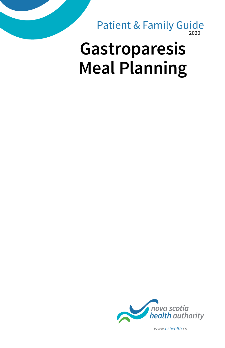2020 Patient & Family Guide

# **Gastroparesis Meal Planning**



*www.nshealth.ca*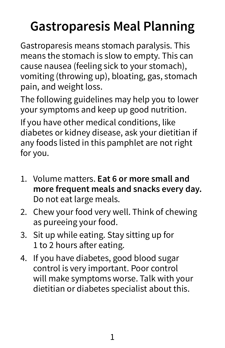## **Gastroparesis Meal Planning**

Gastroparesis means stomach paralysis. This means the stomach is slow to empty. This can cause nausea (feeling sick to your stomach), vomiting (throwing up), bloating, gas, stomach pain, and weight loss.

The following guidelines may help you to lower your symptoms and keep up good nutrition. If you have other medical conditions, like diabetes or kidney disease, ask your dietitian if any foods listed in this pamphlet are not right for you.

- 1. Volume matters. **Eat 6 or more small and more frequent meals and snacks every day.** Do not eat large meals.
- 2. Chew your food very well. Think of chewing as pureeing your food.
- 3. Sit up while eating. Stay sitting up for 1 to 2 hours after eating.
- 4. If you have diabetes, good blood sugar control is very important. Poor control will make symptoms worse. Talk with your dietitian or diabetes specialist about this.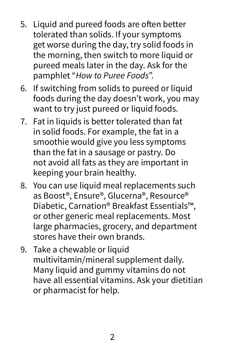- 5. Liquid and pureed foods are often better tolerated than solids. If your symptoms get worse during the day, try solid foods in the morning, then switch to more liquid or pureed meals later in the day. Ask for the pamphlet "*How to Puree Foods*".
- 6. If switching from solids to pureed or liquid foods during the day doesn't work, you may want to try just pureed or liquid foods.
- 7. Fat in liquids is better tolerated than fat in solid foods. For example, the fat in a smoothie would give you less symptoms than the fat in a sausage or pastry. Do not avoid all fats as they are important in keeping your brain healthy.
- 8. You can use liquid meal replacements such as Boost®, Ensure®, Glucerna®, Resource® Diabetic, Carnation® Breakfast Essentials™, or other generic meal replacements. Most large pharmacies, grocery, and department stores have their own brands.
- 9. Take a chewable or liquid multivitamin/mineral supplement daily. Many liquid and gummy vitamins do not have all essential vitamins. Ask your dietitian or pharmacist for help.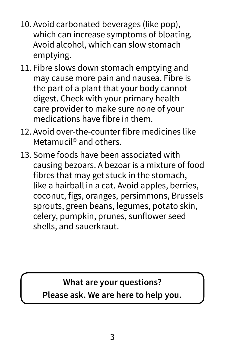- 10. Avoid carbonated beverages (like pop), which can increase symptoms of bloating. Avoid alcohol, which can slow stomach emptying.
- 11. Fibre slows down stomach emptying and may cause more pain and nausea. Fibre is the part of a plant that your body cannot digest. Check with your primary health care provider to make sure none of your medications have fibre in them.
- 12. Avoid over-the-counter fibre medicines like Metamucil® and others.
- 13. Some foods have been associated with causing bezoars. A bezoar is a mixture of food fibres that may get stuck in the stomach, like a hairball in a cat. Avoid apples, berries, coconut, figs, oranges, persimmons, Brussels sprouts, green beans, legumes, potato skin, celery, pumpkin, prunes, sunflower seed shells, and sauerkraut.

**What are your questions? Please ask. We are here to help you.**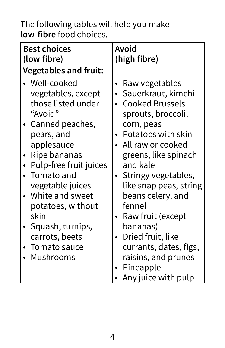The following tables will help you make **low-fibre** food choices.

| (high fibre)                                                                                                                                                                                                                                                                                                                                                                                    |  |  |
|-------------------------------------------------------------------------------------------------------------------------------------------------------------------------------------------------------------------------------------------------------------------------------------------------------------------------------------------------------------------------------------------------|--|--|
|                                                                                                                                                                                                                                                                                                                                                                                                 |  |  |
| Raw vegetables<br>· Sauerkraut, kimchi<br><b>Cooked Brussels</b><br>sprouts, broccoli,<br>corn, peas<br>Potatoes with skin<br>• All raw or cooked<br>greens, like spinach<br>and kale<br>• Stringy vegetables,<br>like snap peas, string<br>beans celery, and<br>fennel<br>• Raw fruit (except<br>bananas)<br>• Dried fruit, like<br>currants, dates, figs,<br>raisins, and prunes<br>Pineapple |  |  |
| Any juice with pulp                                                                                                                                                                                                                                                                                                                                                                             |  |  |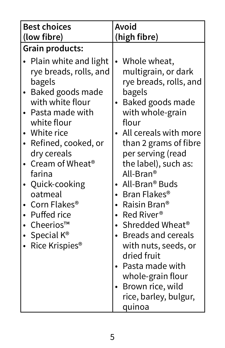| <b>Best choices</b><br>(low fibre)                                                                                                                                                                                                                                                                                                                                                    | Avoid<br>(high fibre)                                                                                                                                                                                                                                                                                                                                                                                                                                                                                                                          |  |  |
|---------------------------------------------------------------------------------------------------------------------------------------------------------------------------------------------------------------------------------------------------------------------------------------------------------------------------------------------------------------------------------------|------------------------------------------------------------------------------------------------------------------------------------------------------------------------------------------------------------------------------------------------------------------------------------------------------------------------------------------------------------------------------------------------------------------------------------------------------------------------------------------------------------------------------------------------|--|--|
| Grain products:                                                                                                                                                                                                                                                                                                                                                                       |                                                                                                                                                                                                                                                                                                                                                                                                                                                                                                                                                |  |  |
| • Plain white and light<br>rye breads, rolls, and<br>bagels<br>Baked goods made<br>with white flour<br>Pasta made with<br>white flour<br>White rice<br>Refined, cooked, or<br>dry cereals<br>Cream of Wheat <sup>®</sup><br>farina<br>Quick-cooking<br>oatmeal<br>Corn Flakes <sup>®</sup><br>• Puffed rice<br>• Cheerios™<br>Special $K^{\circledast}$<br>Rice Krispies <sup>®</sup> | Whole wheat,<br>$\bullet$<br>multigrain, or dark<br>rye breads, rolls, and<br>bagels<br>Baked goods made<br>with whole-grain<br>flour<br>All cereals with more<br>than 2 grams of fibre<br>per serving (read<br>the label), such as:<br>All-Bran®<br>All-Bran <sup>®</sup> Buds<br>• Bran Flakes <sup>®</sup><br>Raisin Bran®<br>• Red River®<br>• Shredded Wheat <sup>®</sup><br>• Breads and cereals<br>with nuts, seeds, or<br>dried fruit<br>• Pasta made with<br>whole-grain flour<br>Brown rice, wild<br>rice, barley, bulgur,<br>quinoa |  |  |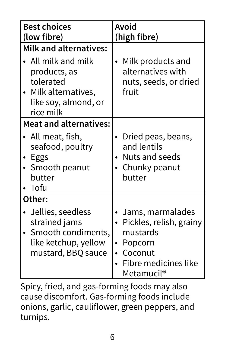| <b>Best choices</b><br>(low fibre)                                                                                                                     | Avoid<br>(high fibre)                                                                                                                 |  |
|--------------------------------------------------------------------------------------------------------------------------------------------------------|---------------------------------------------------------------------------------------------------------------------------------------|--|
| <b>Milk and alternatives:</b><br>$\bullet$ All milk and milk<br>products, as<br>tolerated<br>• Milk alternatives,<br>like soy, almond, or<br>rice milk | Milk products and<br>alternatives with<br>nuts, seeds, or dried<br>fruit                                                              |  |
| <b>Meat and alternatives:</b><br>• All meat, fish,<br>seafood, poultry<br>• Eggs<br>• Smooth peanut<br>butter<br>Tofu                                  | • Dried peas, beans,<br>and lentils<br>Nuts and seeds<br>• Chunky peanut<br>butter                                                    |  |
| Other:<br>Jellies, seedless<br>strained jams<br>Smooth condiments,<br>like ketchup, yellow<br>mustard, BBQ sauce                                       | • Jams, marmalades<br>• Pickles, relish, grainy<br>mustards<br>• Popcorn<br>Coconut<br>Fibre medicines like<br>Metamucil <sup>®</sup> |  |

Spicy, fried, and gas-forming foods may also cause discomfort. Gas-forming foods include onions, garlic, cauliflower, green peppers, and turnips.